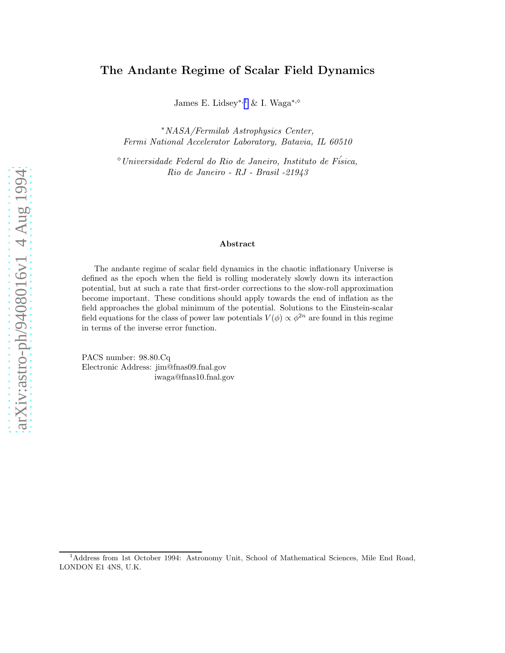# The Andante Regime of Scalar Field Dynamics

James E. Lidsey<sup>∗,1</sup> & I. Waga<sup>∗,</sup>◇

<sup>∗</sup>*NASA/Fermilab Astrophysics Center, Fermi National Accelerator Laboratory, Batavia, IL 60510*

<sup>⋄</sup>*Universidade Federal do Rio de Janeiro, Instituto de F´isica, Rio de Janeiro - RJ - Brasil -21943*

#### Abstract

The andante regime of scalar field dynamics in the chaotic inflationary Universe is defined as the epoch when the field is rolling moderately slowly down its interaction potential, but at such a rate that first-order corrections to the slow-roll approximation become important. These conditions should apply towards the end of inflation as the field approaches the global minimum of the potential. Solutions to the Einstein-scalar field equations for the class of power law potentials  $V(\phi) \propto \phi^{2n}$  are found in this regime in terms of the inverse error function.

PACS number: 98.80.Cq Electronic Address: jim@fnas09.fnal.gov iwaga@fnas10.fnal.gov

<sup>&</sup>lt;sup>1</sup>Address from 1st October 1994: Astronomy Unit, School of Mathematical Sciences, Mile End Road, LONDON E1 4NS, U.K.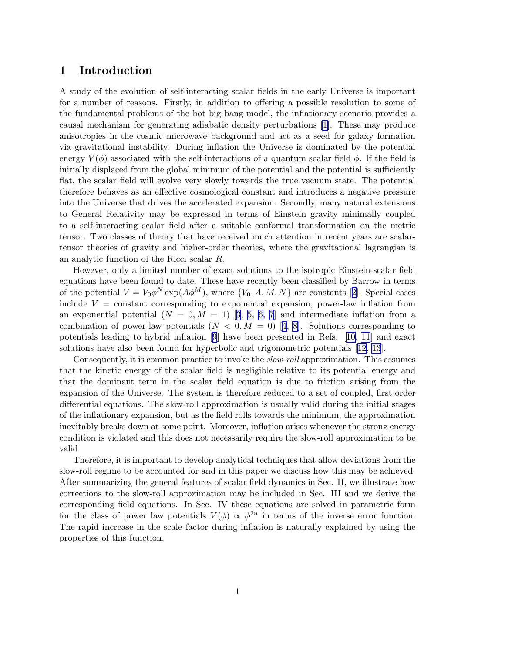### 1 Introduction

A study of the evolution of self-interacting scalar fields in the early Universe is important for a number of reasons. Firstly, in addition to offering a possible resolution to some of the fundamental problems of the hot big bang model, the inflationary scenario provides a causal mechanism for generating adiabatic density perturbations [\[1\]](#page-8-0). These may produce anisotropies in the cosmic microwave background and act as a seed for galaxy formation via gravitational instability. During inflation the Universe is dominated by the potential energy  $V(\phi)$  associated with the self-interactions of a quantum scalar field  $\phi$ . If the field is initially displaced from the global minimum of the potential and the potential is sufficiently flat, the scalar field will evolve very slowly towards the true vacuum state. The potential therefore behaves as an effective cosmological constant and introduces a negative pressure into the Universe that drives the accelerated expansion. Secondly, many natural extensions to General Relativity may be expressed in terms of Einstein gravity minimally coupled to a self-interacting scalar field after a suitable conformal transformation on the metric tensor. Two classes of theory that have received much attention in recent years are scalartensor theories of gravity and higher-order theories, where the gravitational lagrangian is an analytic function of the Ricci scalar R.

However, only a limited number of exact solutions to the isotropic Einstein-scalar field equations have been found to date. These have recently been classified by Barrow in terms ofthe potential  $V = V_0 \phi^N \exp(A\phi^M)$ , where  $\{V_0, A, M, N\}$  are constants [[2](#page-8-0)]. Special cases include  $V = constant$  corresponding to exponential expansion, power-law inflation from anexponential potential  $(N = 0, M = 1)$  [[3](#page-8-0), [5,](#page-8-0) [6, 7](#page-9-0)] and intermediate inflation from a combination of power-law potentials  $(N < 0, M = 0)$  [\[4,](#page-8-0) [8\]](#page-9-0). Solutions corresponding to potentials leading to hybrid inflation[[9](#page-9-0)] have been presented in Refs. [\[10](#page-9-0), [11](#page-9-0)] and exact solutions have also been found for hyperbolic and trigonometric potentials[[12](#page-9-0), [13](#page-9-0)].

Consequently, it is common practice to invoke the *slow-roll* approximation. This assumes that the kinetic energy of the scalar field is negligible relative to its potential energy and that the dominant term in the scalar field equation is due to friction arising from the expansion of the Universe. The system is therefore reduced to a set of coupled, first-order differential equations. The slow-roll approximation is usually valid during the initial stages of the inflationary expansion, but as the field rolls towards the minimum, the approximation inevitably breaks down at some point. Moreover, inflation arises whenever the strong energy condition is violated and this does not necessarily require the slow-roll approximation to be valid.

Therefore, it is important to develop analytical techniques that allow deviations from the slow-roll regime to be accounted for and in this paper we discuss how this may be achieved. After summarizing the general features of scalar field dynamics in Sec. II, we illustrate how corrections to the slow-roll approximation may be included in Sec. III and we derive the corresponding field equations. In Sec. IV these equations are solved in parametric form for the class of power law potentials  $V(\phi) \propto \phi^{2n}$  in terms of the inverse error function. The rapid increase in the scale factor during inflation is naturally explained by using the properties of this function.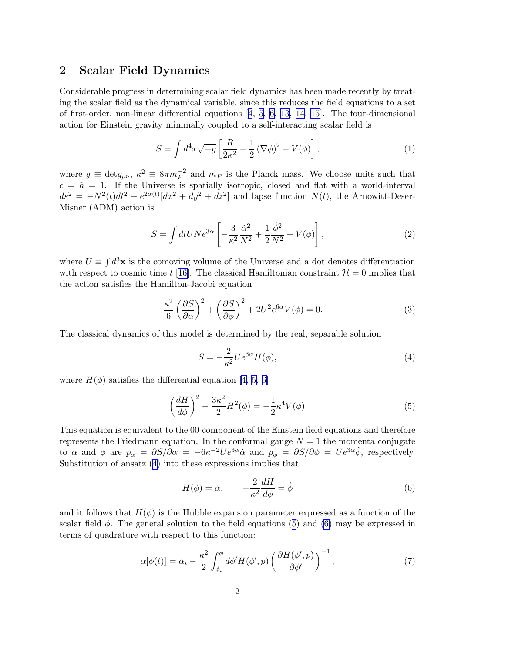#### <span id="page-2-0"></span>2 Scalar Field Dynamics

Considerable progress in determining scalar field dynamics has been made recently by treating the scalar field as the dynamical variable, since this reduces the field equations to a set of first-order, non-linear differential equations [\[4](#page-8-0), [5,](#page-8-0) [6, 13](#page-9-0), [14](#page-9-0), [15\]](#page-9-0). The four-dimensional action for Einstein gravity minimally coupled to a self-interacting scalar field is

$$
S = \int d^4x \sqrt{-g} \left[ \frac{R}{2\kappa^2} - \frac{1}{2} (\nabla \phi)^2 - V(\phi) \right],\tag{1}
$$

where  $g \equiv \text{det} g_{\mu\nu}$ ,  $\kappa^2 \equiv 8\pi m_P^{-2}$  and  $m_P$  is the Planck mass. We choose units such that  $c = \hbar = 1$ . If the Universe is spatially isotropic, closed and flat with a world-interval  $ds^2 = -N^2(t)dt^2 + e^{2\alpha(t)}[dx^2 + dy^2 + dz^2]$  and lapse function  $N(t)$ , the Arnowitt-Deser-Misner (ADM) action is

$$
S = \int dt UNe^{3\alpha} \left[ -\frac{3}{\kappa^2} \frac{\dot{\alpha}^2}{N^2} + \frac{1}{2} \frac{\dot{\phi}^2}{N^2} - V(\phi) \right],\tag{2}
$$

where  $U \equiv \int d^3x$  is the comoving volume of the Universe and a dot denotes differentiation with respect to cosmic time t [\[16\]](#page-9-0). The classical Hamiltonian constraint  $\mathcal{H} = 0$  implies that the action satisfies the Hamilton-Jacobi equation

$$
-\frac{\kappa^2}{6}\left(\frac{\partial S}{\partial \alpha}\right)^2 + \left(\frac{\partial S}{\partial \phi}\right)^2 + 2U^2 e^{6\alpha}V(\phi) = 0.
$$
 (3)

The classical dynamics of this model is determined by the real, separable solution

$$
S = -\frac{2}{\kappa^2} U e^{3\alpha} H(\phi),\tag{4}
$$

where  $H(\phi)$  satisfies the differential equation [\[4, 5,](#page-8-0) [6\]](#page-9-0)

$$
\left(\frac{dH}{d\phi}\right)^2 - \frac{3\kappa^2}{2}H^2(\phi) = -\frac{1}{2}\kappa^4 V(\phi). \tag{5}
$$

This equation is equivalent to the 00-component of the Einstein field equations and therefore represents the Friedmann equation. In the conformal gauge  $N = 1$  the momenta conjugate to  $\alpha$  and  $\phi$  are  $p_{\alpha} = \partial S/\partial \alpha = -6\kappa^{-2}Ue^{3\alpha}\dot{\alpha}$  and  $p_{\phi} = \partial S/\partial \phi = Ue^{3\alpha}\dot{\phi}$ , respectively. Substitution of ansatz (4) into these expressions implies that

$$
H(\phi) = \dot{\alpha}, \qquad -\frac{2}{\kappa^2} \frac{dH}{d\phi} = \dot{\phi}
$$
 (6)

and it follows that  $H(\phi)$  is the Hubble expansion parameter expressed as a function of the scalar field  $\phi$ . The general solution to the field equations (5) and (6) may be expressed in terms of quadrature with respect to this function:

$$
\alpha[\phi(t)] = \alpha_i - \frac{\kappa^2}{2} \int_{\phi_i}^{\phi} d\phi' H(\phi', p) \left(\frac{\partial H(\phi', p)}{\partial \phi'}\right)^{-1},\tag{7}
$$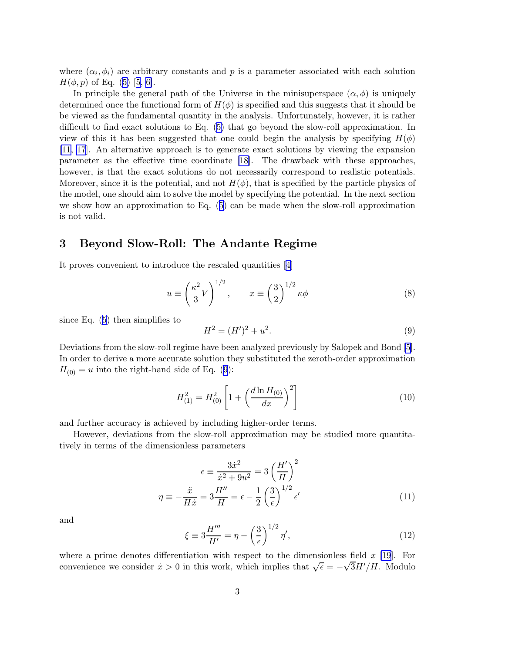<span id="page-3-0"></span>where  $(\alpha_i, \phi_i)$  are arbitrary constants and p is a parameter associated with each solution  $H(\phi, p)$  $H(\phi, p)$  $H(\phi, p)$  of Eq. ([5\)](#page-2-0) [\[5](#page-8-0), [6\]](#page-9-0).

In principle the general path of the Universe in the minisuperspace  $(\alpha, \phi)$  is uniquely determined once the functional form of  $H(\phi)$  is specified and this suggests that it should be be viewed as the fundamental quantity in the analysis. Unfortunately, however, it is rather difficult to find exact solutions to Eq.([5](#page-2-0)) that go beyond the slow-roll approximation. In view of this it has been suggested that one could begin the analysis by specifying  $H(\phi)$ [\[11, 17](#page-9-0)]. An alternative approach is to generate exact solutions by viewing the expansion parameter as the effective time coordinate [\[18](#page-9-0)]. The drawback with these approaches, however, is that the exact solutions do not necessarily correspond to realistic potentials. Moreover, since it is the potential, and not  $H(\phi)$ , that is specified by the particle physics of the model, one should aim to solve the model by specifying the potential. In the next section we show how an approximation to Eq.([5](#page-2-0)) can be made when the slow-roll approximation is not valid.

## 3 Beyond Slow-Roll: The Andante Regime

It proves convenient to introduce the rescaled quantities[[4](#page-8-0)]

$$
u \equiv \left(\frac{\kappa^2}{3}V\right)^{1/2}, \qquad x \equiv \left(\frac{3}{2}\right)^{1/2} \kappa \phi \tag{8}
$$

since Eq.([5](#page-2-0)) then simplifies to

$$
H^2 = (H')^2 + u^2. \tag{9}
$$

Deviations from the slow-roll regime have been analyzed previously by Salopek and Bond [\[5\]](#page-8-0). In order to derive a more accurate solution they substituted the zeroth-order approximation  $H_{(0)} = u$  into the right-hand side of Eq. (9):

$$
H_{(1)}^2 = H_{(0)}^2 \left[ 1 + \left( \frac{d \ln H_{(0)}}{dx} \right)^2 \right] \tag{10}
$$

and further accuracy is achieved by including higher-order terms.

However, deviations from the slow-roll approximation may be studied more quantitatively in terms of the dimensionless parameters

$$
\epsilon \equiv \frac{3\dot{x}^2}{\dot{x}^2 + 9u^2} = 3\left(\frac{H'}{H}\right)^2
$$

$$
\eta \equiv -\frac{\dot{x}}{H\dot{x}} = 3\frac{H''}{H} = \epsilon - \frac{1}{2}\left(\frac{3}{\epsilon}\right)^{1/2} \epsilon'
$$
(11)

and

$$
\xi \equiv 3\frac{H'''}{H'} = \eta - \left(\frac{3}{\epsilon}\right)^{1/2} \eta',\tag{12}
$$

where a prime denotes differentiation with respect to the dimensionless field  $x$  [\[19](#page-9-0)]. For convenience we consider  $\dot{x} > 0$  in this work, which implies that  $\sqrt{\epsilon} = -\sqrt{3}H'/H$ . Modulo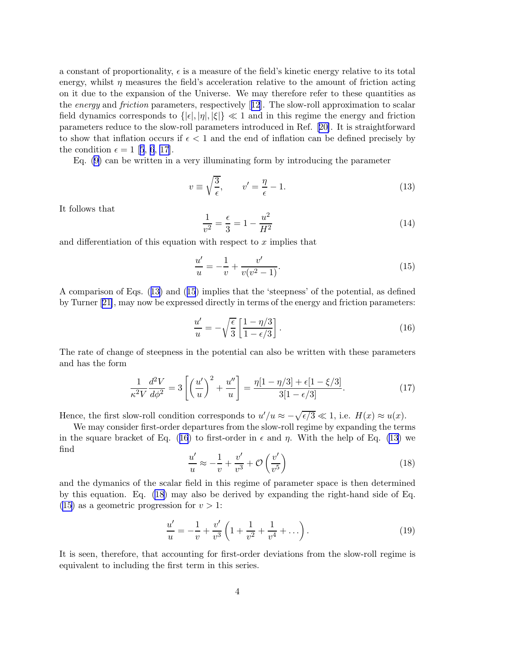<span id="page-4-0"></span>a constant of proportionality,  $\epsilon$  is a measure of the field's kinetic energy relative to its total energy, whilst  $\eta$  measures the field's acceleration relative to the amount of friction acting on it due to the expansion of the Universe. We may therefore refer to these quantities as the *energy* and *friction* parameters, respectively[[12](#page-9-0)]. The slow-roll approximation to scalar field dynamics corresponds to  $\{|\epsilon|, |\eta|, |\xi|\} \ll 1$  and in this regime the energy and friction parameters reduce to the slow-roll parameters introduced in Ref.[[20\]](#page-9-0). It is straightforward to show that inflation occurs if  $\epsilon < 1$  and the end of inflation can be defined precisely by thecondition  $\epsilon = 1$  [[5](#page-8-0), [6](#page-9-0), [17\]](#page-9-0).

Eq. [\(9\)](#page-3-0) can be written in a very illuminating form by introducing the parameter

$$
v \equiv \sqrt{\frac{3}{\epsilon}}, \qquad v' = \frac{\eta}{\epsilon} - 1. \tag{13}
$$

It follows that

$$
\frac{1}{v^2} = \frac{\epsilon}{3} = 1 - \frac{u^2}{H^2}
$$
\n(14)

and differentiation of this equation with respect to  $x$  implies that

$$
\frac{u'}{u} = -\frac{1}{v} + \frac{v'}{v(v^2 - 1)}.\tag{15}
$$

A comparison of Eqs. (13) and (15) implies that the 'steepness' of the potential, as defined by Turner[[21\]](#page-9-0), may now be expressed directly in terms of the energy and friction parameters:

$$
\frac{u'}{u} = -\sqrt{\frac{\epsilon}{3}} \left[ \frac{1 - \eta/3}{1 - \epsilon/3} \right].
$$
\n(16)

The rate of change of steepness in the potential can also be written with these parameters and has the form

$$
\frac{1}{\kappa^2 V} \frac{d^2 V}{d\phi^2} = 3 \left[ \left( \frac{u'}{u} \right)^2 + \frac{u''}{u} \right] = \frac{\eta [1 - \eta/3] + \epsilon [1 - \xi/3]}{3[1 - \epsilon/3]}.
$$
\n(17)

Hence, the first slow-roll condition corresponds to  $u'/u \approx -\sqrt{\epsilon/3} \ll 1$ , i.e.  $H(x) \approx u(x)$ .

We may consider first-order departures from the slow-roll regime by expanding the terms in the square bracket of Eq. (16) to first-order in  $\epsilon$  and  $\eta$ . With the help of Eq. (13) we find

$$
\frac{u'}{u} \approx -\frac{1}{v} + \frac{v'}{v^3} + \mathcal{O}\left(\frac{v'}{v^5}\right) \tag{18}
$$

and the dymanics of the scalar field in this regime of parameter space is then determined by this equation. Eq. (18) may also be derived by expanding the right-hand side of Eq.  $(15)$  as a geometric progression for  $v > 1$ :

$$
\frac{u'}{u} = -\frac{1}{v} + \frac{v'}{v^3} \left( 1 + \frac{1}{v^2} + \frac{1}{v^4} + \dots \right). \tag{19}
$$

It is seen, therefore, that accounting for first-order deviations from the slow-roll regime is equivalent to including the first term in this series.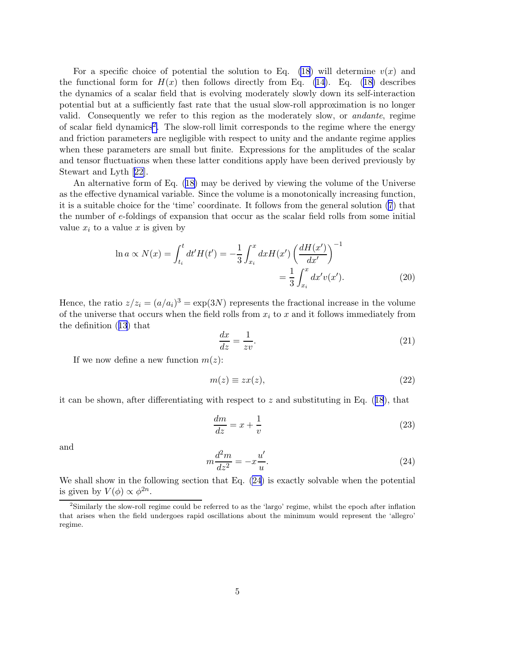<span id="page-5-0"></span>For a specific choice of potential the solution to Eq. [\(18](#page-4-0)) will determine  $v(x)$  and thefunctional form for  $H(x)$  then follows directly from Eq. [\(14\)](#page-4-0). Eq. ([18\)](#page-4-0) describes the dynamics of a scalar field that is evolving moderately slowly down its self-interaction potential but at a sufficiently fast rate that the usual slow-roll approximation is no longer valid. Consequently we refer to this region as the moderately slow, or *andante*, regime of scalar field dynamics<sup>2</sup>. The slow-roll limit corresponds to the regime where the energy and friction parameters are negligible with respect to unity and the andante regime applies when these parameters are small but finite. Expressions for the amplitudes of the scalar and tensor fluctuations when these latter conditions apply have been derived previously by Stewart and Lyth [\[22](#page-9-0)].

An alternative form of Eq.([18\)](#page-4-0) may be derived by viewing the volume of the Universe as the effective dynamical variable. Since the volume is a monotonically increasing function, it is a suitable choice for the 'time' coordinate. It follows from the general solution [\(7](#page-2-0)) that the number of e-foldings of expansion that occur as the scalar field rolls from some initial value  $x_i$  to a value x is given by

$$
\ln a \propto N(x) = \int_{t_i}^{t} dt' H(t') = -\frac{1}{3} \int_{x_i}^{x} dx H(x') \left(\frac{dH(x')}{dx'}\right)^{-1} = \frac{1}{3} \int_{x_i}^{x} dx' v(x').
$$
 (20)

Hence, the ratio  $z/z_i = (a/a_i)^3 = \exp(3N)$  represents the fractional increase in the volume of the universe that occurs when the field rolls from  $x_i$  to x and it follows immediately from the definition([13](#page-4-0)) that

$$
\frac{dx}{dz} = \frac{1}{zv}.\tag{21}
$$

If we now define a new function  $m(z)$ :

$$
m(z) \equiv zx(z), \tag{22}
$$

itcan be shown, after differentiating with respect to z and substituting in Eq.  $(18)$  $(18)$  $(18)$ , that

$$
\frac{dm}{dz} = x + \frac{1}{v} \tag{23}
$$

and

$$
m\frac{d^2m}{dz^2} = -x\frac{u'}{u}.\tag{24}
$$

We shall show in the following section that Eq. (24) is exactly solvable when the potential is given by  $V(\phi) \propto \phi^{2n}$ .

<sup>&</sup>lt;sup>2</sup>Similarly the slow-roll regime could be referred to as the 'largo' regime, whilst the epoch after inflation that arises when the field undergoes rapid oscillations about the minimum would represent the 'allegro' regime.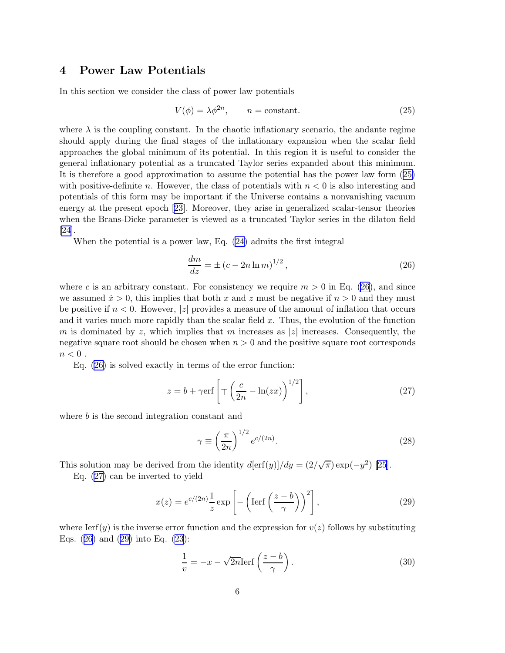### <span id="page-6-0"></span>4 Power Law Potentials

In this section we consider the class of power law potentials

$$
V(\phi) = \lambda \phi^{2n}, \qquad n = \text{constant.} \tag{25}
$$

where  $\lambda$  is the coupling constant. In the chaotic inflationary scenario, the andante regime should apply during the final stages of the inflationary expansion when the scalar field approaches the global minimum of its potential. In this region it is useful to consider the general inflationary potential as a truncated Taylor series expanded about this minimum. It is therefore a good approximation to assume the potential has the power law form (25) with positive-definite n. However, the class of potentials with  $n < 0$  is also interesting and potentials of this form may be important if the Universe contains a nonvanishing vacuum energy at the present epoch [\[23](#page-9-0)]. Moreover, they arise in generalized scalar-tensor theories when the Brans-Dicke parameter is viewed as a truncated Taylor series in the dilaton field [\[24\]](#page-9-0).

When the potential is a power law, Eq. [\(24](#page-5-0)) admits the first integral

$$
\frac{dm}{dz} = \pm (c - 2n \ln m)^{1/2},\tag{26}
$$

where c is an arbitrary constant. For consistency we require  $m > 0$  in Eq. (26), and since we assumed  $\dot{x} > 0$ , this implies that both x and z must be negative if  $n > 0$  and they must be positive if  $n < 0$ . However, |z| provides a measure of the amount of inflation that occurs and it varies much more rapidly than the scalar field x. Thus, the evolution of the function m is dominated by z, which implies that m increases as |z| increases. Consequently, the negative square root should be chosen when  $n > 0$  and the positive square root corresponds  $n < 0$ .

Eq. (26) is solved exactly in terms of the error function:

$$
z = b + \gamma \text{erf}\left[\mp \left(\frac{c}{2n} - \ln(zx)\right)^{1/2}\right],\tag{27}
$$

where b is the second integration constant and

$$
\gamma \equiv \left(\frac{\pi}{2n}\right)^{1/2} e^{c/(2n)}.\tag{28}
$$

This solution may be derived from the identity  $d[\text{erf}(y)]/dy = (2/\sqrt{\pi}) \exp(-y^2)$  [\[25](#page-9-0)].

Eq. (27) can be inverted to yield

$$
x(z) = e^{c/(2n)} \frac{1}{z} \exp\left[-\left(\text{Ierf}\left(\frac{z-b}{\gamma}\right)\right)^2\right],\tag{29}
$$

where  $\text{Ierf}(y)$  is the inverse error function and the expression for  $v(z)$  follows by substituting Eqs. (26) and (29) into Eq. [\(23\)](#page-5-0):

$$
\frac{1}{v} = -x - \sqrt{2n} \text{Ierf}\left(\frac{z-b}{\gamma}\right). \tag{30}
$$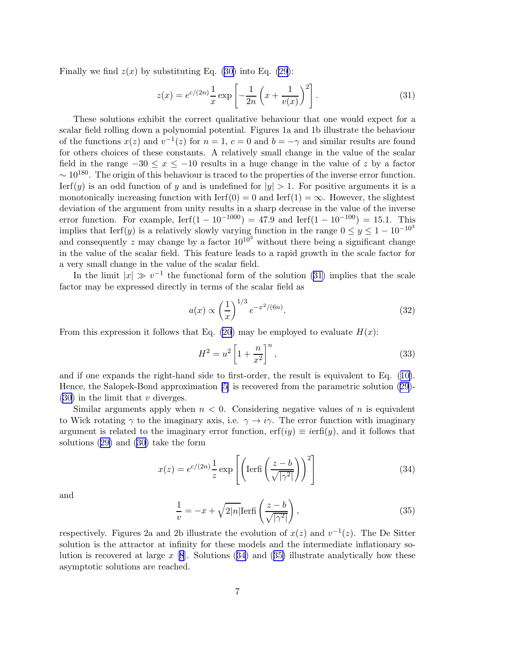<span id="page-7-0"></span>Finally we find  $z(x)$  by substituting Eq. [\(30\)](#page-6-0) into Eq. [\(29](#page-6-0)):

$$
z(x) = e^{c/(2n)} \frac{1}{x} \exp\left[ -\frac{1}{2n} \left( x + \frac{1}{v(x)} \right)^2 \right].
$$
 (31)

These solutions exhibit the correct qualitative behaviour that one would expect for a scalar field rolling down a polynomial potential. Figures 1a and 1b illustrate the behaviour of the functions  $x(z)$  and  $v^{-1}(z)$  for  $n = 1$ ,  $c = 0$  and  $b = -\gamma$  and similar results are found for others choices of these constants. A relatively small change in the value of the scalar field in the range  $-30 \leq x \leq -10$  results in a huge change in the value of z by a factor  $\sim 10^{180}$ . The origin of this behaviour is traced to the properties of the inverse error function. Ierf(y) is an odd function of y and is undefined for  $|y| > 1$ . For positive arguments it is a monotonically increasing function with  $\text{Ierf}(0) = 0$  and  $\text{Ierf}(1) = \infty$ . However, the slightest deviation of the argument from unity results in a sharp decrease in the value of the inverse error function. For example,  $Ierf(1 - 10^{-1000}) = 47.9$  and  $Ierf(1 - 10^{-100}) = 15.1$ . This implies that Ierf(y) is a relatively slowly varying function in the range  $0 \le y \le 1 - 10^{-10^3}$ and consequently z may change by a factor  $10^{10^3}$  without there being a significant change in the value of the scalar field. This feature leads to a rapid growth in the scale factor for a very small change in the value of the scalar field.

In the limit  $|x| \gg v^{-1}$  the functional form of the solution (31) implies that the scale factor may be expressed directly in terms of the scalar field as

$$
a(x) \propto \left(\frac{1}{x}\right)^{1/3} e^{-x^2/(6n)}.
$$
 (32)

From this expression it follows that Eq. [\(20\)](#page-5-0) may be employed to evaluate  $H(x)$ :

$$
H^2 = u^2 \left[ 1 + \frac{n}{x^2} \right]^n,\tag{33}
$$

and if one expands the right-hand side to first-order, the result is equivalent to Eq.([10\)](#page-3-0). Hence, the Salopek-Bond approximation [\[5\]](#page-8-0) is recovered from the parametric solution [\(29\)](#page-6-0)-  $(30)$  in the limit that v diverges.

Similar arguments apply when  $n < 0$ . Considering negative values of n is equivalent to Wick rotating  $\gamma$  to the imaginary axis, i.e.  $\gamma \to i\gamma$ . The error function with imaginary argument is related to the imaginary error function, erf $(iy) \equiv i\text{erfi}(y)$ , and it follows that solutions([29\)](#page-6-0) and([30\)](#page-6-0) take the form

$$
x(z) = e^{c/(2n)} \frac{1}{z} \exp\left[\left(\text{Ierfi}\left(\frac{z-b}{\sqrt{|\gamma^2|}}\right)\right)^2\right]
$$
(34)

and

$$
\frac{1}{v} = -x + \sqrt{2|n|} \text{Ierfi}\left(\frac{z-b}{\sqrt{|\gamma^2|}}\right),\tag{35}
$$

respectively. Figures 2a and 2b illustrate the evolution of  $x(z)$  and  $v^{-1}(z)$ . The De Sitter solution is the attractor at infinity for these models and the intermediate inflationary solution is recovered at large  $x$  [[8](#page-9-0)]. Solutions (34) and (35) illustrate analytically how these asymptotic solutions are reached.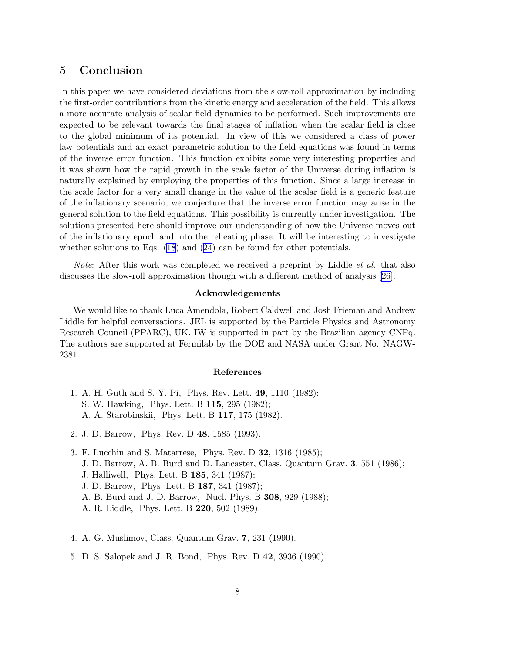### <span id="page-8-0"></span>5 Conclusion

In this paper we have considered deviations from the slow-roll approximation by including the first-order contributions from the kinetic energy and acceleration of the field. This allows a more accurate analysis of scalar field dynamics to be performed. Such improvements are expected to be relevant towards the final stages of inflation when the scalar field is close to the global minimum of its potential. In view of this we considered a class of power law potentials and an exact parametric solution to the field equations was found in terms of the inverse error function. This function exhibits some very interesting properties and it was shown how the rapid growth in the scale factor of the Universe during inflation is naturally explained by employing the properties of this function. Since a large increase in the scale factor for a very small change in the value of the scalar field is a generic feature of the inflationary scenario, we conjecture that the inverse error function may arise in the general solution to the field equations. This possibility is currently under investigation. The solutions presented here should improve our understanding of how the Universe moves out of the inflationary epoch and into the reheating phase. It will be interesting to investigate whether solutions to Eqs. [\(18](#page-4-0))and ([24](#page-5-0)) can be found for other potentials.

*Note*: After this work was completed we received a preprint by Liddle *et al.* that also discusses the slow-roll approximation though with a different method of analysis[[26\]](#page-9-0).

#### Acknowledgements

We would like to thank Luca Amendola, Robert Caldwell and Josh Frieman and Andrew Liddle for helpful conversations. JEL is supported by the Particle Physics and Astronomy Research Council (PPARC), UK. IW is supported in part by the Brazilian agency CNPq. The authors are supported at Fermilab by the DOE and NASA under Grant No. NAGW-2381.

#### References

- 1. A. H. Guth and S.-Y. Pi, Phys. Rev. Lett. 49, 1110 (1982); S. W. Hawking, Phys. Lett. B 115, 295 (1982); A. A. Starobinskii, Phys. Lett. B 117, 175 (1982).
- 2. J. D. Barrow, Phys. Rev. D 48, 1585 (1993).
- 3. F. Lucchin and S. Matarrese, Phys. Rev. D 32, 1316 (1985); J. D. Barrow, A. B. Burd and D. Lancaster, Class. Quantum Grav. 3, 551 (1986); J. Halliwell, Phys. Lett. B 185, 341 (1987);
	- J. D. Barrow, Phys. Lett. B 187, 341 (1987);
	- A. B. Burd and J. D. Barrow, Nucl. Phys. B 308, 929 (1988);
	- A. R. Liddle, Phys. Lett. B 220, 502 (1989).
- 4. A. G. Muslimov, Class. Quantum Grav. 7, 231 (1990).
- 5. D. S. Salopek and J. R. Bond, Phys. Rev. D 42, 3936 (1990).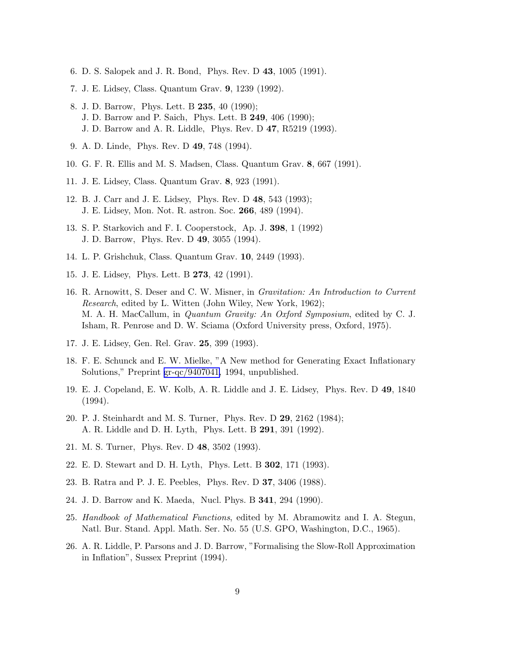- <span id="page-9-0"></span>6. D. S. Salopek and J. R. Bond, Phys. Rev. D 43, 1005 (1991).
- 7. J. E. Lidsey, Class. Quantum Grav. 9, 1239 (1992).
- 8. J. D. Barrow, Phys. Lett. B 235, 40 (1990); J. D. Barrow and P. Saich, Phys. Lett. B 249, 406 (1990); J. D. Barrow and A. R. Liddle, Phys. Rev. D 47, R5219 (1993).
- 9. A. D. Linde, Phys. Rev. D 49, 748 (1994).
- 10. G. F. R. Ellis and M. S. Madsen, Class. Quantum Grav. 8, 667 (1991).
- 11. J. E. Lidsey, Class. Quantum Grav. 8, 923 (1991).
- 12. B. J. Carr and J. E. Lidsey, Phys. Rev. D 48, 543 (1993); J. E. Lidsey, Mon. Not. R. astron. Soc. 266, 489 (1994).
- 13. S. P. Starkovich and F. I. Cooperstock, Ap. J. 398, 1 (1992) J. D. Barrow, Phys. Rev. D 49, 3055 (1994).
- 14. L. P. Grishchuk, Class. Quantum Grav. 10, 2449 (1993).
- 15. J. E. Lidsey, Phys. Lett. B 273, 42 (1991).
- 16. R. Arnowitt, S. Deser and C. W. Misner, in *Gravitation: An Introduction to Current Research*, edited by L. Witten (John Wiley, New York, 1962); M. A. H. MacCallum, in *Quantum Gravity: An Oxford Symposium*, edited by C. J. Isham, R. Penrose and D. W. Sciama (Oxford University press, Oxford, 1975).
- 17. J. E. Lidsey, Gen. Rel. Grav. 25, 399 (1993).
- 18. F. E. Schunck and E. W. Mielke, "A New method for Generating Exact Inflationary Solutions," Preprint [gr-qc/9407041,](http://arxiv.org/abs/gr-qc/9407041) 1994, unpublished.
- 19. E. J. Copeland, E. W. Kolb, A. R. Liddle and J. E. Lidsey, Phys. Rev. D 49, 1840 (1994).
- 20. P. J. Steinhardt and M. S. Turner, Phys. Rev. D 29, 2162 (1984); A. R. Liddle and D. H. Lyth, Phys. Lett. B 291, 391 (1992).
- 21. M. S. Turner, Phys. Rev. D 48, 3502 (1993).
- 22. E. D. Stewart and D. H. Lyth, Phys. Lett. B 302, 171 (1993).
- 23. B. Ratra and P. J. E. Peebles, Phys. Rev. D 37, 3406 (1988).
- 24. J. D. Barrow and K. Maeda, Nucl. Phys. B 341, 294 (1990).
- 25. *Handbook of Mathematical Functions*, edited by M. Abramowitz and I. A. Stegun, Natl. Bur. Stand. Appl. Math. Ser. No. 55 (U.S. GPO, Washington, D.C., 1965).
- 26. A. R. Liddle, P. Parsons and J. D. Barrow, "Formalising the Slow-Roll Approximation in Inflation", Sussex Preprint (1994).